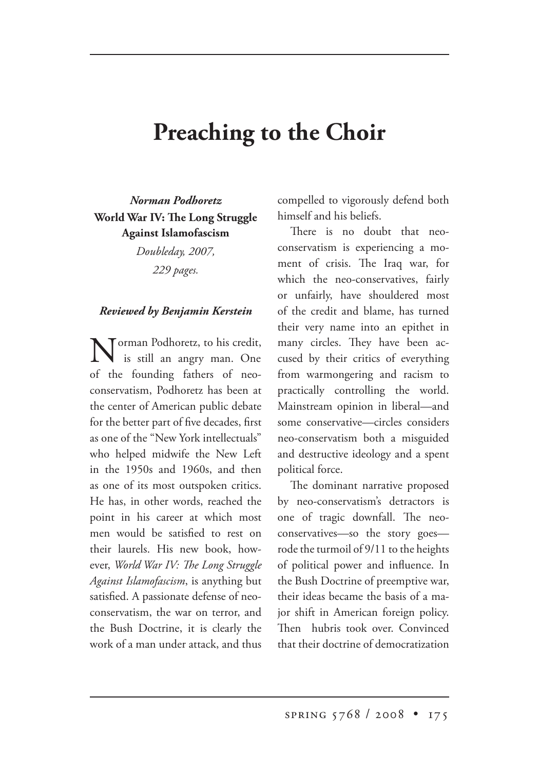## **Preaching to the Choir**

*Norman Podhoretz* **World War IV: The Long Struggle Against Islamofascism**

> *Doubleday, 2007, 229 pages.*

## *Reviewed by Benjamin Kerstein*

Torman Podhoretz, to his credit, is still an angry man. One of the founding fathers of neoconservatism, Podhoretz has been at the center of American public debate for the better part of five decades, first as one of the "New York intellectuals" who helped midwife the New Left in the 1950s and 1960s, and then as one of its most outspoken critics. He has, in other words, reached the point in his career at which most men would be satisfied to rest on their laurels. His new book, however, *World War IV: The Long Struggle Against Islamofascism*, is anything but satisfied. A passionate defense of neoconservatism, the war on terror, and the Bush Doctrine, it is clearly the work of a man under attack, and thus compelled to vigorously defend both himself and his beliefs.

There is no doubt that neoconservatism is experiencing a moment of crisis. The Iraq war, for which the neo-conservatives, fairly or unfairly, have shouldered most of the credit and blame, has turned their very name into an epithet in many circles. They have been accused by their critics of everything from warmongering and racism to practically controlling the world. Mainstream opinion in liberal—and some conservative—circles considers neo-conservatism both a misguided and destructive ideology and a spent political force.

The dominant narrative proposed by neo-conservatism's detractors is one of tragic downfall. The neoconservatives—so the story goes rode the turmoil of 9/11 to the heights of political power and influence. In the Bush Doctrine of preemptive war, their ideas became the basis of a major shift in American foreign policy. Then hubris took over. Convinced that their doctrine of democratization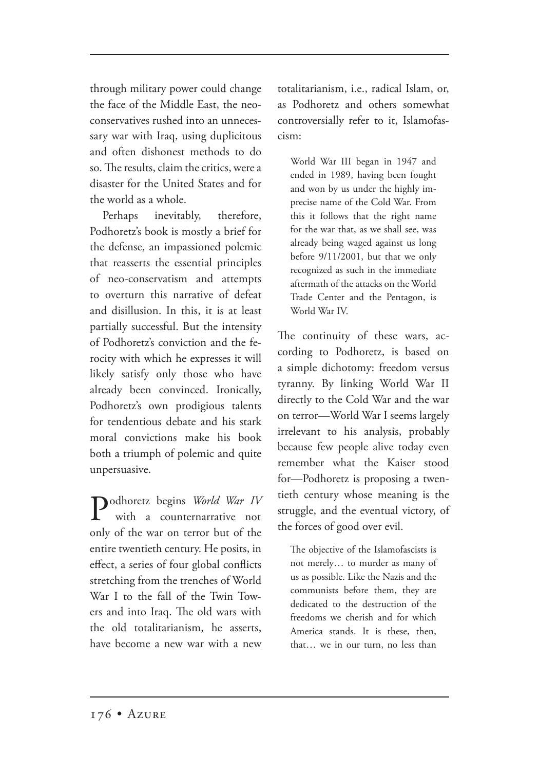through military power could change the face of the Middle East, the neoconservatives rushed into an unnecessary war with Iraq, using duplicitous and often dishonest methods to do so. The results, claim the critics, were a disaster for the United States and for the world as a whole.

Perhaps inevitably, therefore, Podhoretz's book is mostly a brief for the defense, an impassioned polemic that reasserts the essential principles of neo-conservatism and attempts to overturn this narrative of defeat and disillusion. In this, it is at least partially successful. But the intensity of Podhoretz's conviction and the ferocity with which he expresses it will likely satisfy only those who have already been convinced. Ironically, Podhoretz's own prodigious talents for tendentious debate and his stark moral convictions make his book both a triumph of polemic and quite unpersuasive.

Podhoretz begins *World War IV* with a counternarrative not only of the war on terror but of the entire twentieth century. He posits, in effect, a series of four global conflicts stretching from the trenches of World War I to the fall of the Twin Towers and into Iraq. The old wars with the old totalitarianism, he asserts, have become a new war with a new

totalitarianism, i.e., radical Islam, or, as Podhoretz and others somewhat controversially refer to it, Islamofascism:

World War III began in 1947 and ended in 1989, having been fought and won by us under the highly imprecise name of the Cold War. From this it follows that the right name for the war that, as we shall see, was already being waged against us long before 9/11/2001, but that we only recognized as such in the immediate aftermath of the attacks on the World Trade Center and the Pentagon, is World War IV.

The continuity of these wars, according to Podhoretz, is based on a simple dichotomy: freedom versus tyranny. By linking World War II directly to the Cold War and the war on terror—World War I seems largely irrelevant to his analysis, probably because few people alive today even remember what the Kaiser stood for—Podhoretz is proposing a twentieth century whose meaning is the struggle, and the eventual victory, of the forces of good over evil.

The objective of the Islamofascists is not merely… to murder as many of us as possible. Like the Nazis and the communists before them, they are dedicated to the destruction of the freedoms we cherish and for which America stands. It is these, then, that… we in our turn, no less than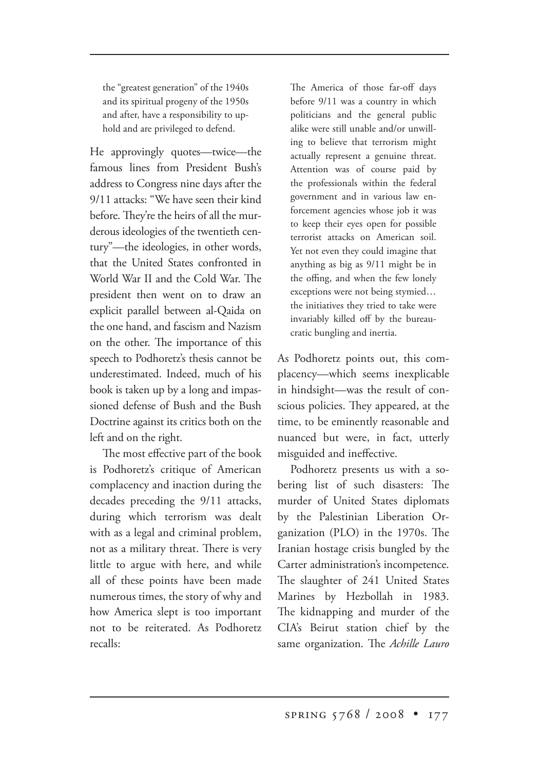the "greatest generation" of the 1940s and its spiritual progeny of the 1950s and after, have a responsibility to uphold and are privileged to defend.

He approvingly quotes—twice—the famous lines from President Bush's address to Congress nine days after the 9/11 attacks: "We have seen their kind before. They're the heirs of all the murderous ideologies of the twentieth century"—the ideologies, in other words, that the United States confronted in World War II and the Cold War. The president then went on to draw an explicit parallel between al-Qaida on the one hand, and fascism and Nazism on the other. The importance of this speech to Podhoretz's thesis cannot be underestimated. Indeed, much of his book is taken up by a long and impassioned defense of Bush and the Bush Doctrine against its critics both on the left and on the right.

The most effective part of the book is Podhoretz's critique of American complacency and inaction during the decades preceding the 9/11 attacks, during which terrorism was dealt with as a legal and criminal problem, not as a military threat. There is very little to argue with here, and while all of these points have been made numerous times, the story of why and how America slept is too important not to be reiterated. As Podhoretz recalls:

The America of those far-off days before 9/11 was a country in which politicians and the general public alike were still unable and/or unwilling to believe that terrorism might actually represent a genuine threat. Attention was of course paid by the professionals within the federal government and in various law enforcement agencies whose job it was to keep their eyes open for possible terrorist attacks on American soil. Yet not even they could imagine that anything as big as 9/11 might be in the offing, and when the few lonely exceptions were not being stymied… the initiatives they tried to take were invariably killed off by the bureaucratic bungling and inertia.

As Podhoretz points out, this complacency—which seems inexplicable in hindsight—was the result of conscious policies. They appeared, at the time, to be eminently reasonable and nuanced but were, in fact, utterly misguided and ineffective.

Podhoretz presents us with a sobering list of such disasters: The murder of United States diplomats by the Palestinian Liberation Organization (PLO) in the  $1970s$ . The Iranian hostage crisis bungled by the Carter administration's incompetence. The slaughter of 241 United States Marines by Hezbollah in 1983. The kidnapping and murder of the CIA's Beirut station chief by the same organization. The *Achille Lauro*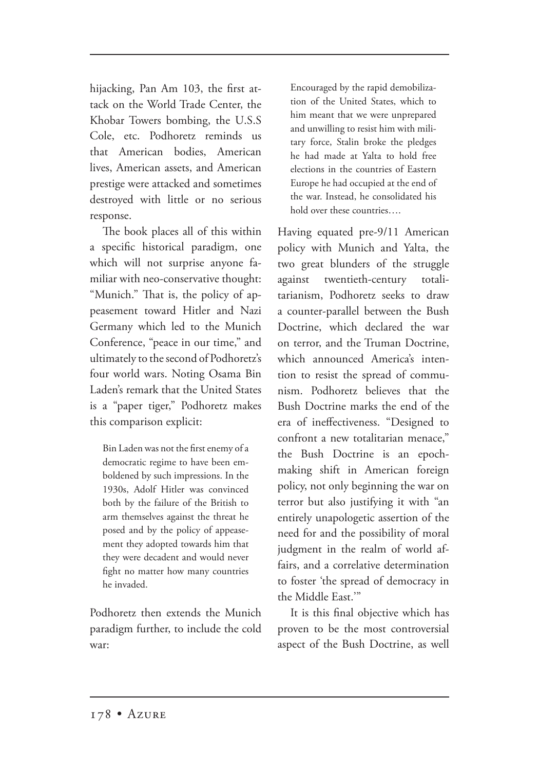hijacking, Pan Am 103, the first attack on the World Trade Center, the Khobar Towers bombing, the U.S.S Cole, etc. Podhoretz reminds us that American bodies, American lives, American assets, and American prestige were attacked and sometimes destroyed with little or no serious response.

The book places all of this within a specific historical paradigm, one which will not surprise anyone familiar with neo-conservative thought: "Munich." That is, the policy of appeasement toward Hitler and Nazi Germany which led to the Munich Conference, "peace in our time," and ultimately to the second of Podhoretz's four world wars. Noting Osama Bin Laden's remark that the United States is a "paper tiger," Podhoretz makes this comparison explicit:

Bin Laden was not the first enemy of a democratic regime to have been emboldened by such impressions. In the 1930s, Adolf Hitler was convinced both by the failure of the British to arm themselves against the threat he posed and by the policy of appeasement they adopted towards him that they were decadent and would never fight no matter how many countries he invaded.

Podhoretz then extends the Munich paradigm further, to include the cold war:

Encouraged by the rapid demobilization of the United States, which to him meant that we were unprepared and unwilling to resist him with military force, Stalin broke the pledges he had made at Yalta to hold free elections in the countries of Eastern Europe he had occupied at the end of the war. Instead, he consolidated his hold over these countries….

Having equated pre-9/11 American policy with Munich and Yalta, the two great blunders of the struggle against twentieth-century totalitarianism, Podhoretz seeks to draw a counter-parallel between the Bush Doctrine, which declared the war on terror, and the Truman Doctrine, which announced America's intention to resist the spread of communism. Podhoretz believes that the Bush Doctrine marks the end of the era of ineffectiveness. "Designed to confront a new totalitarian menace," the Bush Doctrine is an epochmaking shift in American foreign policy, not only beginning the war on terror but also justifying it with "an entirely unapologetic assertion of the need for and the possibility of moral judgment in the realm of world affairs, and a correlative determination to foster 'the spread of democracy in the Middle East."

It is this final objective which has proven to be the most controversial aspect of the Bush Doctrine, as well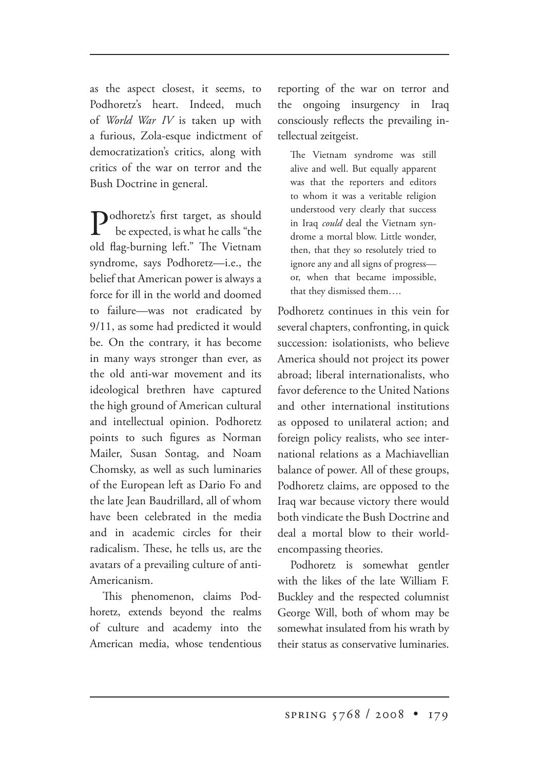as the aspect closest, it seems, to Podhoretz's heart. Indeed, much of *World War IV* is taken up with a furious, Zola-esque indictment of democratization's critics, along with critics of the war on terror and the Bush Doctrine in general.

**Podhoretz's first target, as should**  be expected, is what he calls "the old flag-burning left." The Vietnam syndrome, says Podhoretz—i.e., the belief that American power is always a force for ill in the world and doomed to failure—was not eradicated by 9/11, as some had predicted it would be. On the contrary, it has become in many ways stronger than ever, as the old anti-war movement and its ideological brethren have captured the high ground of American cultural and intellectual opinion. Podhoretz points to such figures as Norman Mailer, Susan Sontag, and Noam Chomsky, as well as such luminaries of the European left as Dario Fo and the late Jean Baudrillard, all of whom have been celebrated in the media and in academic circles for their radicalism. These, he tells us, are the avatars of a prevailing culture of anti-Americanism.

This phenomenon, claims Podhoretz, extends beyond the realms of culture and academy into the American media, whose tendentious reporting of the war on terror and the ongoing insurgency in Iraq consciously reflects the prevailing intellectual zeitgeist.

The Vietnam syndrome was still alive and well. But equally apparent was that the reporters and editors to whom it was a veritable religion understood very clearly that success in Iraq *could* deal the Vietnam syndrome a mortal blow. Little wonder, then, that they so resolutely tried to ignore any and all signs of progress or, when that became impossible, that they dismissed them….

Podhoretz continues in this vein for several chapters, confronting, in quick succession: isolationists, who believe America should not project its power abroad; liberal internationalists, who favor deference to the United Nations and other international institutions as opposed to unilateral action; and foreign policy realists, who see international relations as a Machiavellian balance of power. All of these groups, Podhoretz claims, are opposed to the Iraq war because victory there would both vindicate the Bush Doctrine and deal a mortal blow to their worldencompassing theories.

Podhoretz is somewhat gentler with the likes of the late William F. Buckley and the respected columnist George Will, both of whom may be somewhat insulated from his wrath by their status as conservative luminaries.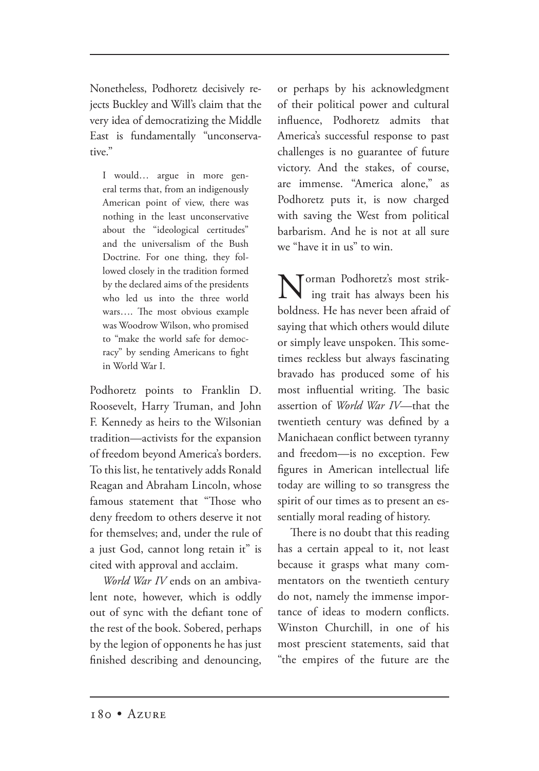Nonetheless, Podhoretz decisively rejects Buckley and Will's claim that the very idea of democratizing the Middle East is fundamentally "unconservative."

I would… argue in more general terms that, from an indigenously American point of view, there was nothing in the least unconservative about the "ideological certitudes" and the universalism of the Bush Doctrine. For one thing, they followed closely in the tradition formed by the declared aims of the presidents who led us into the three world wars.... The most obvious example was Woodrow Wilson, who promised to "make the world safe for democracy" by sending Americans to fight in World War I.

Podhoretz points to Franklin D. Roosevelt, Harry Truman, and John F. Kennedy as heirs to the Wilsonian tradition—activists for the expansion of freedom beyond America's borders. To this list, he tentatively adds Ronald Reagan and Abraham Lincoln, whose famous statement that "Those who deny freedom to others deserve it not for themselves; and, under the rule of a just God, cannot long retain it" is cited with approval and acclaim.

*World War IV* ends on an ambivalent note, however, which is oddly out of sync with the defiant tone of the rest of the book. Sobered, perhaps by the legion of opponents he has just finished describing and denouncing,

or perhaps by his acknowledgment of their political power and cultural influence, Podhoretz admits that America's successful response to past challenges is no guarantee of future victory. And the stakes, of course, are immense. "America alone," as Podhoretz puts it, is now charged with saving the West from political barbarism. And he is not at all sure we "have it in us" to win.

Norman Podhoretz's most strik ing trait has always been his boldness. He has never been afraid of saying that which others would dilute or simply leave unspoken. This sometimes reckless but always fascinating bravado has produced some of his most influential writing. The basic assertion of *World War IV*—that the twentieth century was defined by a Manichaean conflict between tyranny and freedom—is no exception. Few figures in American intellectual life today are willing to so transgress the spirit of our times as to present an essentially moral reading of history.

There is no doubt that this reading has a certain appeal to it, not least because it grasps what many commentators on the twentieth century do not, namely the immense importance of ideas to modern conflicts. Winston Churchill, in one of his most prescient statements, said that "the empires of the future are the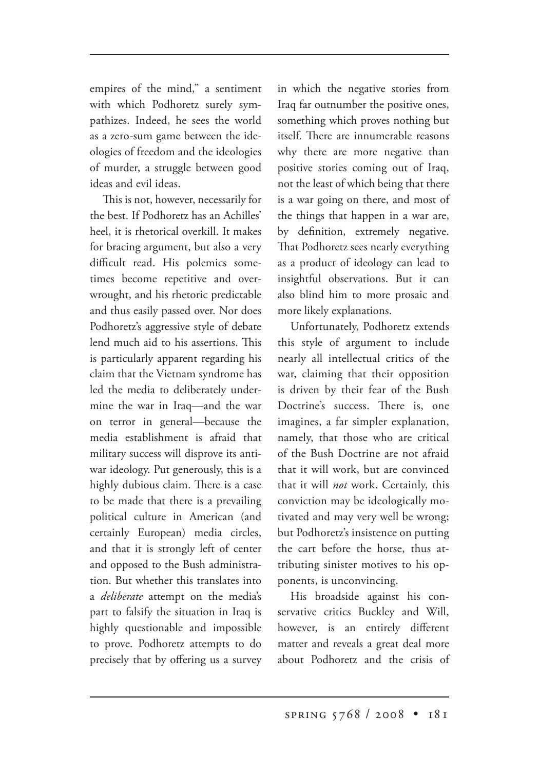empires of the mind," a sentiment with which Podhoretz surely sympathizes. Indeed, he sees the world as a zero-sum game between the ideologies of freedom and the ideologies of murder, a struggle between good ideas and evil ideas.

This is not, however, necessarily for the best. If Podhoretz has an Achilles' heel, it is rhetorical overkill. It makes for bracing argument, but also a very difficult read. His polemics sometimes become repetitive and overwrought, and his rhetoric predictable and thus easily passed over. Nor does Podhoretz's aggressive style of debate lend much aid to his assertions. This is particularly apparent regarding his claim that the Vietnam syndrome has led the media to deliberately undermine the war in Iraq—and the war on terror in general—because the media establishment is afraid that military success will disprove its antiwar ideology. Put generously, this is a highly dubious claim. There is a case to be made that there is a prevailing political culture in American (and certainly European) media circles, and that it is strongly left of center and opposed to the Bush administration. But whether this translates into a *deliberate* attempt on the media's part to falsify the situation in Iraq is highly questionable and impossible to prove. Podhoretz attempts to do precisely that by offering us a survey in which the negative stories from Iraq far outnumber the positive ones, something which proves nothing but itself. There are innumerable reasons why there are more negative than positive stories coming out of Iraq, not the least of which being that there is a war going on there, and most of the things that happen in a war are, by definition, extremely negative. That Podhoretz sees nearly everything as a product of ideology can lead to insightful observations. But it can also blind him to more prosaic and more likely explanations.

Unfortunately, Podhoretz extends this style of argument to include nearly all intellectual critics of the war, claiming that their opposition is driven by their fear of the Bush Doctrine's success. There is, one imagines, a far simpler explanation, namely, that those who are critical of the Bush Doctrine are not afraid that it will work, but are convinced that it will *not* work. Certainly, this conviction may be ideologically motivated and may very well be wrong; but Podhoretz's insistence on putting the cart before the horse, thus attributing sinister motives to his opponents, is unconvincing.

His broadside against his conservative critics Buckley and Will, however, is an entirely different matter and reveals a great deal more about Podhoretz and the crisis of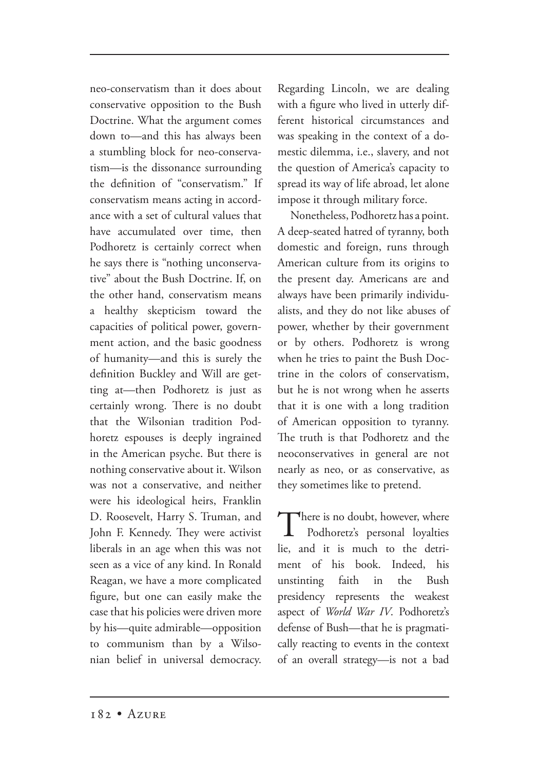neo-conservatism than it does about conservative opposition to the Bush Doctrine. What the argument comes down to—and this has always been a stumbling block for neo-conservatism—is the dissonance surrounding the definition of "conservatism." If conservatism means acting in accordance with a set of cultural values that have accumulated over time, then Podhoretz is certainly correct when he says there is "nothing unconservative" about the Bush Doctrine. If, on the other hand, conservatism means a healthy skepticism toward the capacities of political power, government action, and the basic goodness of humanity—and this is surely the definition Buckley and Will are getting at—then Podhoretz is just as certainly wrong. There is no doubt that the Wilsonian tradition Podhoretz espouses is deeply ingrained in the American psyche. But there is nothing conservative about it. Wilson was not a conservative, and neither were his ideological heirs, Franklin D. Roosevelt, Harry S. Truman, and John F. Kennedy. They were activist liberals in an age when this was not seen as a vice of any kind. In Ronald Reagan, we have a more complicated figure, but one can easily make the case that his policies were driven more by his—quite admirable—opposition to communism than by a Wilsonian belief in universal democracy.

Regarding Lincoln, we are dealing with a figure who lived in utterly different historical circumstances and was speaking in the context of a domestic dilemma, i.e., slavery, and not the question of America's capacity to spread its way of life abroad, let alone impose it through military force.

Nonetheless, Podhoretz has a point. A deep-seated hatred of tyranny, both domestic and foreign, runs through American culture from its origins to the present day. Americans are and always have been primarily individualists, and they do not like abuses of power, whether by their government or by others. Podhoretz is wrong when he tries to paint the Bush Doctrine in the colors of conservatism, but he is not wrong when he asserts that it is one with a long tradition of American opposition to tyranny. The truth is that Podhoretz and the neoconservatives in general are not nearly as neo, or as conservative, as they sometimes like to pretend.

There is no doubt, however, where Podhoretz's personal loyalties lie, and it is much to the detriment of his book. Indeed, his unstinting faith in the Bush presidency represents the weakest aspect of *World War IV*. Podhoretz's defense of Bush—that he is pragmatically reacting to events in the context of an overall strategy—is not a bad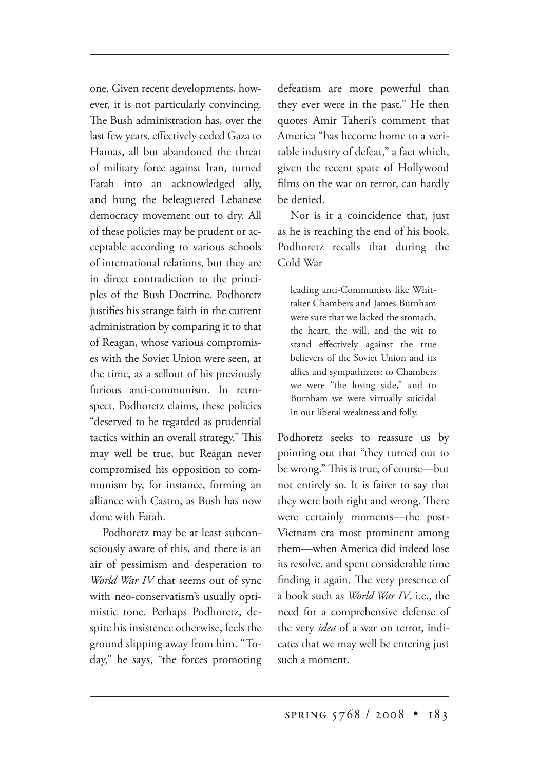one. Given recent developments, however, it is not particularly convincing. The Bush administration has, over the last few years, effectively ceded Gaza to Hamas, all but abandoned the threat of military force against Iran, turned Fatah into an acknowledged ally, and hung the beleaguered Lebanese democracy movement out to dry. All of these policies may be prudent or acceptable according to various schools of international relations, but they are in direct contradiction to the principles of the Bush Doctrine. Podhoretz justifies his strange faith in the current administration by comparing it to that of Reagan, whose various compromises with the Soviet Union were seen, at the time, as a sellout of his previously furious anti-communism. In retrospect, Podhoretz claims, these policies "deserved to be regarded as prudential tactics within an overall strategy." This may well be true, but Reagan never compromised his opposition to communism by, for instance, forming an alliance with Castro, as Bush has now done with Fatah.

Podhoretz may be at least subconsciously aware of this, and there is an air of pessimism and desperation to *World War IV* that seems out of sync with neo-conservatism's usually optimistic tone. Perhaps Podhoretz, despite his insistence otherwise, feels the ground slipping away from him. "Today," he says, "the forces promoting defeatism are more powerful than they ever were in the past." He then quotes Amir Taheri's comment that America "has become home to a veritable industry of defeat," a fact which, given the recent spate of Hollywood films on the war on terror, can hardly be denied.

Nor is it a coincidence that, just as he is reaching the end of his book, Podhoretz recalls that during the Cold War

leading anti-Communists like Whittaker Chambers and James Burnham were sure that we lacked the stomach, the heart, the will, and the wit to stand effectively against the true believers of the Soviet Union and its allies and sympathizers: to Chambers we were "the losing side," and to Burnham we were virtually suicidal in our liberal weakness and folly.

Podhoretz seeks to reassure us by pointing out that "they turned out to be wrong." This is true, of course—but not entirely so. It is fairer to say that they were both right and wrong. There were certainly moments—the post-Vietnam era most prominent among them—when America did indeed lose its resolve, and spent considerable time finding it again. The very presence of a book such as *World War IV*, i.e., the need for a comprehensive defense of the very *idea* of a war on terror, indicates that we may well be entering just such a moment.